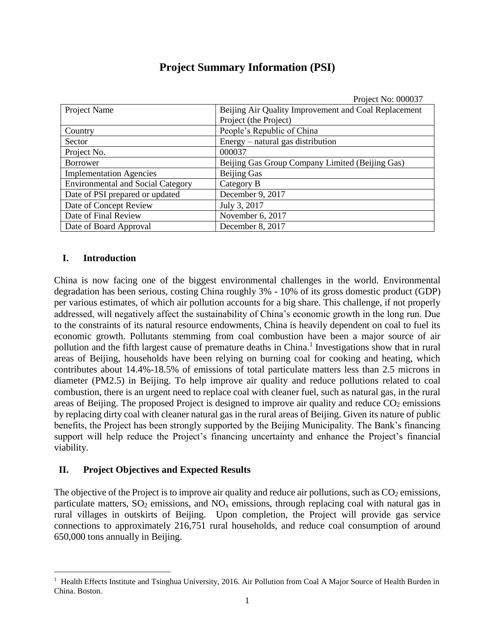|                                          | Project No: 000037                                   |  |
|------------------------------------------|------------------------------------------------------|--|
| Project Name                             | Beijing Air Quality Improvement and Coal Replacement |  |
|                                          | Project (the Project)                                |  |
| Country                                  | People's Republic of China                           |  |
| Sector                                   | $Energy - natural$ gas distribution                  |  |
| Project No.                              | 000037                                               |  |
| <b>Borrower</b>                          | Beijing Gas Group Company Limited (Beijing Gas)      |  |
| <b>Implementation Agencies</b>           | <b>Beijing Gas</b>                                   |  |
| <b>Environmental and Social Category</b> | Category B                                           |  |
| Date of PSI prepared or updated          | December 9, 2017                                     |  |
| Date of Concept Review                   | July 3, 2017                                         |  |
| Date of Final Review                     | November 6, 2017                                     |  |
| Date of Board Approval                   | December 8, 2017                                     |  |

### **Project Summary Information (PSI)**

### **I. Introduction**

 $\overline{a}$ 

China is now facing one of the biggest environmental challenges in the world. Environmental degradation has been serious, costing China roughly 3% - 10% of its gross domestic product (GDP) per various estimates, of which air pollution accounts for a big share. This challenge, if not properly addressed, will negatively affect the sustainability of China's economic growth in the long run. Due to the constraints of its natural resource endowments, China is heavily dependent on coal to fuel its economic growth. Pollutants stemming from coal combustion have been a major source of air pollution and the fifth largest cause of premature deaths in China.<sup>1</sup> Investigations show that in rural areas of Beijing, households have been relying on burning coal for cooking and heating, which contributes about 14.4%-18.5% of emissions of total particulate matters less than 2.5 microns in diameter (PM2.5) in Beijing. To help improve air quality and reduce pollutions related to coal combustion, there is an urgent need to replace coal with cleaner fuel, such as natural gas, in the rural areas of Beijing. The proposed Project is designed to improve air quality and reduce  $CO<sub>2</sub>$  emissions by replacing dirty coal with cleaner natural gas in the rural areas of Beijing. Given its nature of public benefits, the Project has been strongly supported by the Beijing Municipality. The Bank's financing support will help reduce the Project's financing uncertainty and enhance the Project's financial viability.

#### **II. Project Objectives and Expected Results**

The objective of the Project is to improve air quality and reduce air pollutions, such as  $CO<sub>2</sub>$  emissions, particulate matters,  $SO_2$  emissions, and  $NO_x$  emissions, through replacing coal with natural gas in rural villages in outskirts of Beijing. Upon completion, the Project will provide gas service connections to approximately 216,751 rural households, and reduce coal consumption of around 650,000 tons annually in Beijing.

<sup>&</sup>lt;sup>1</sup> Health Effects Institute and Tsinghua University, 2016. Air Pollution from Coal A Major Source of Health Burden in China. Boston.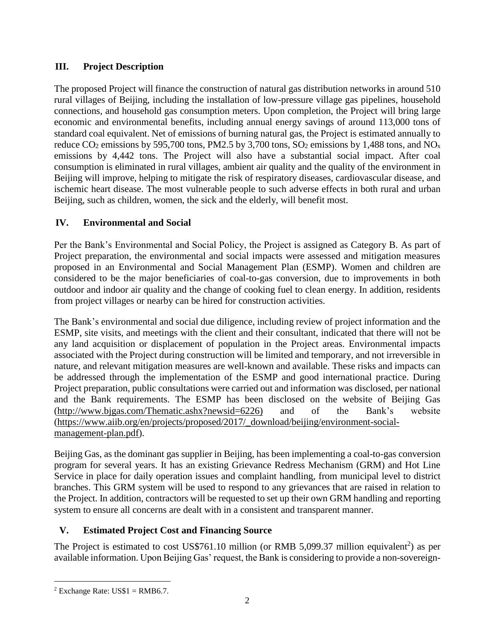## **III. Project Description**

The proposed Project will finance the construction of natural gas distribution networks in around 510 rural villages of Beijing, including the installation of low-pressure village gas pipelines, household connections, and household gas consumption meters. Upon completion, the Project will bring large economic and environmental benefits, including annual energy savings of around 113,000 tons of standard coal equivalent. Net of emissions of burning natural gas, the Project is estimated annually to reduce  $CO_2$  emissions by 595,700 tons, PM2.5 by 3,700 tons,  $SO_2$  emissions by 1,488 tons, and  $NO_x$ emissions by 4,442 tons. The Project will also have a substantial social impact. After coal consumption is eliminated in rural villages, ambient air quality and the quality of the environment in Beijing will improve, helping to mitigate the risk of respiratory diseases, cardiovascular disease, and ischemic heart disease. The most vulnerable people to such adverse effects in both rural and urban Beijing, such as children, women, the sick and the elderly, will benefit most.

### **IV. Environmental and Social**

Per the Bank's Environmental and Social Policy, the Project is assigned as Category B. As part of Project preparation, the environmental and social impacts were assessed and mitigation measures proposed in an Environmental and Social Management Plan (ESMP). Women and children are considered to be the major beneficiaries of coal-to-gas conversion, due to improvements in both outdoor and indoor air quality and the change of cooking fuel to clean energy. In addition, residents from project villages or nearby can be hired for construction activities.

The Bank's environmental and social due diligence, including review of project information and the ESMP, site visits, and meetings with the client and their consultant, indicated that there will not be any land acquisition or displacement of population in the Project areas. Environmental impacts associated with the Project during construction will be limited and temporary, and not irreversible in nature, and relevant mitigation measures are well-known and available. These risks and impacts can be addressed through the implementation of the ESMP and good international practice. During Project preparation, public consultations were carried out and information was disclosed, per national and the Bank requirements. The ESMP has been disclosed on the website of Beijing Gas [\(http://www.bjgas.com/Thematic.ashx?newsid=6226\)](http://www.bjgas.com/Thematic.ashx?newsid=6226) and of the Bank's website [\(https://www.aiib.org/en/projects/proposed/2017/\\_download/beijing/environment-social](https://www.aiib.org/en/projects/proposed/2017/_download/beijing/environment-social-management-plan.pdf)[management-plan.pdf\)](https://www.aiib.org/en/projects/proposed/2017/_download/beijing/environment-social-management-plan.pdf).

Beijing Gas, as the dominant gas supplier in Beijing, has been implementing a coal-to-gas conversion program for several years. It has an existing Grievance Redress Mechanism (GRM) and Hot Line Service in place for daily operation issues and complaint handling, from municipal level to district branches. This GRM system will be used to respond to any grievances that are raised in relation to the Project. In addition, contractors will be requested to set up their own GRM handling and reporting system to ensure all concerns are dealt with in a consistent and transparent manner.

# **V. Estimated Project Cost and Financing Source**

The Project is estimated to cost US\$761.10 million (or RMB 5,099.37 million equivalent<sup>2</sup>) as per available information. Upon Beijing Gas' request, the Bank is considering to provide a non-sovereign-

 $\overline{a}$  $2$  Exchange Rate: US\$1 = RMB6.7.